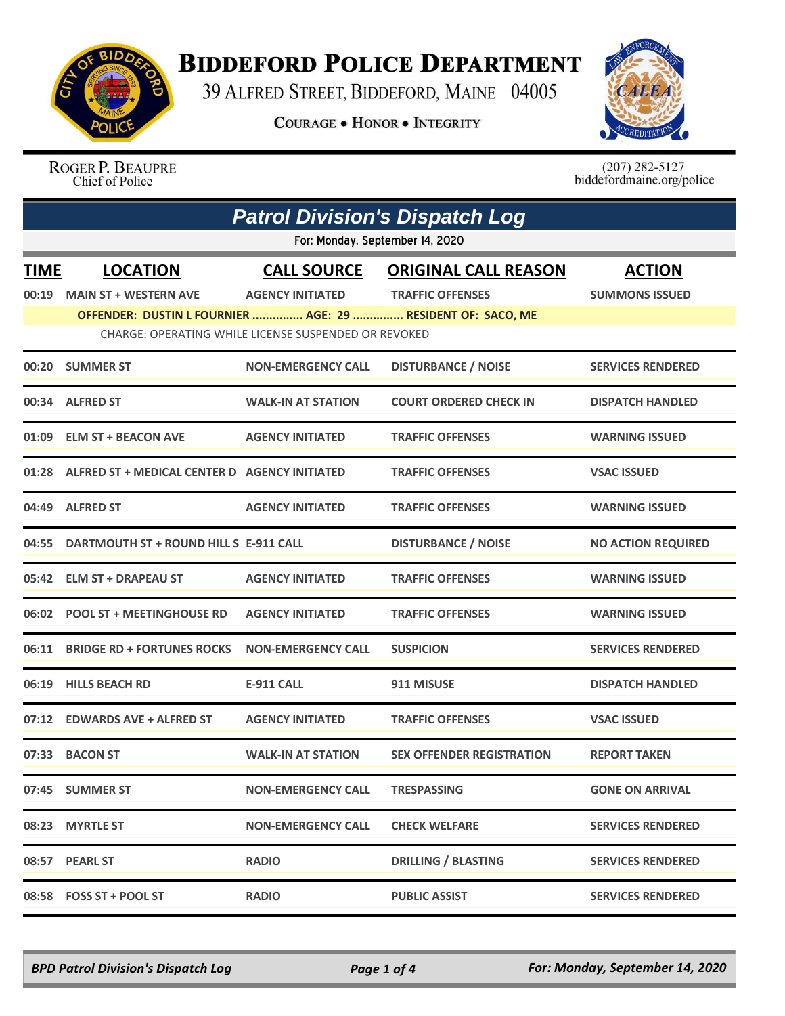

## **BIDDEFORD POLICE DEPARTMENT**

39 ALFRED STREET, BIDDEFORD, MAINE 04005

**COURAGE . HONOR . INTEGRITY** 



ROGER P. BEAUPRE Chief of Police

 $(207)$  282-5127<br>biddefordmaine.org/police

| <b>Patrol Division's Dispatch Log</b> |                                                             |                                                      |                                  |                           |  |  |  |
|---------------------------------------|-------------------------------------------------------------|------------------------------------------------------|----------------------------------|---------------------------|--|--|--|
|                                       | For: Monday, September 14, 2020                             |                                                      |                                  |                           |  |  |  |
| <b>TIME</b>                           | <b>LOCATION</b>                                             | <b>CALL SOURCE</b>                                   | <b>ORIGINAL CALL REASON</b>      | <b>ACTION</b>             |  |  |  |
| 00:19                                 | <b>MAIN ST + WESTERN AVE</b>                                | <b>AGENCY INITIATED</b>                              | <b>TRAFFIC OFFENSES</b>          | <b>SUMMONS ISSUED</b>     |  |  |  |
|                                       | OFFENDER: DUSTIN L FOURNIER  AGE: 29  RESIDENT OF: SACO, ME |                                                      |                                  |                           |  |  |  |
|                                       |                                                             | CHARGE: OPERATING WHILE LICENSE SUSPENDED OR REVOKED |                                  |                           |  |  |  |
|                                       | 00:20 SUMMER ST                                             | <b>NON-EMERGENCY CALL</b>                            | <b>DISTURBANCE / NOISE</b>       | <b>SERVICES RENDERED</b>  |  |  |  |
| 00:34                                 | <b>ALFRED ST</b>                                            | <b>WALK-IN AT STATION</b>                            | <b>COURT ORDERED CHECK IN</b>    | <b>DISPATCH HANDLED</b>   |  |  |  |
|                                       | 01:09 ELM ST + BEACON AVE                                   | <b>AGENCY INITIATED</b>                              | <b>TRAFFIC OFFENSES</b>          | <b>WARNING ISSUED</b>     |  |  |  |
|                                       | 01:28 ALFRED ST + MEDICAL CENTER D AGENCY INITIATED         |                                                      | <b>TRAFFIC OFFENSES</b>          | <b>VSAC ISSUED</b>        |  |  |  |
| 04:49                                 | <b>ALFRED ST</b>                                            | <b>AGENCY INITIATED</b>                              | <b>TRAFFIC OFFENSES</b>          | <b>WARNING ISSUED</b>     |  |  |  |
| 04:55                                 | DARTMOUTH ST + ROUND HILL S E-911 CALL                      |                                                      | <b>DISTURBANCE / NOISE</b>       | <b>NO ACTION REQUIRED</b> |  |  |  |
| 05:42                                 | <b>ELM ST + DRAPEAU ST</b>                                  | <b>AGENCY INITIATED</b>                              | <b>TRAFFIC OFFENSES</b>          | <b>WARNING ISSUED</b>     |  |  |  |
| 06:02                                 | <b>POOL ST + MEETINGHOUSE RD</b>                            | <b>AGENCY INITIATED</b>                              | <b>TRAFFIC OFFENSES</b>          | <b>WARNING ISSUED</b>     |  |  |  |
| 06:11                                 | <b>BRIDGE RD + FORTUNES ROCKS</b>                           | <b>NON-EMERGENCY CALL</b>                            | <b>SUSPICION</b>                 | <b>SERVICES RENDERED</b>  |  |  |  |
| 06:19                                 | <b>HILLS BEACH RD</b>                                       | <b>E-911 CALL</b>                                    | 911 MISUSE                       | <b>DISPATCH HANDLED</b>   |  |  |  |
| 07:12                                 | <b>EDWARDS AVE + ALFRED ST</b>                              | <b>AGENCY INITIATED</b>                              | <b>TRAFFIC OFFENSES</b>          | <b>VSAC ISSUED</b>        |  |  |  |
| 07:33                                 | <b>BACON ST</b>                                             | <b>WALK-IN AT STATION</b>                            | <b>SEX OFFENDER REGISTRATION</b> | <b>REPORT TAKEN</b>       |  |  |  |
|                                       | 07:45 SUMMER ST                                             | <b>NON-EMERGENCY CALL</b>                            | <b>TRESPASSING</b>               | <b>GONE ON ARRIVAL</b>    |  |  |  |
| 08:23                                 | <b>MYRTLE ST</b>                                            | <b>NON-EMERGENCY CALL</b>                            | <b>CHECK WELFARE</b>             | <b>SERVICES RENDERED</b>  |  |  |  |
|                                       | 08:57 PEARL ST                                              | <b>RADIO</b>                                         | <b>DRILLING / BLASTING</b>       | <b>SERVICES RENDERED</b>  |  |  |  |
|                                       | 08:58 FOSS ST + POOL ST                                     | <b>RADIO</b>                                         | <b>PUBLIC ASSIST</b>             | <b>SERVICES RENDERED</b>  |  |  |  |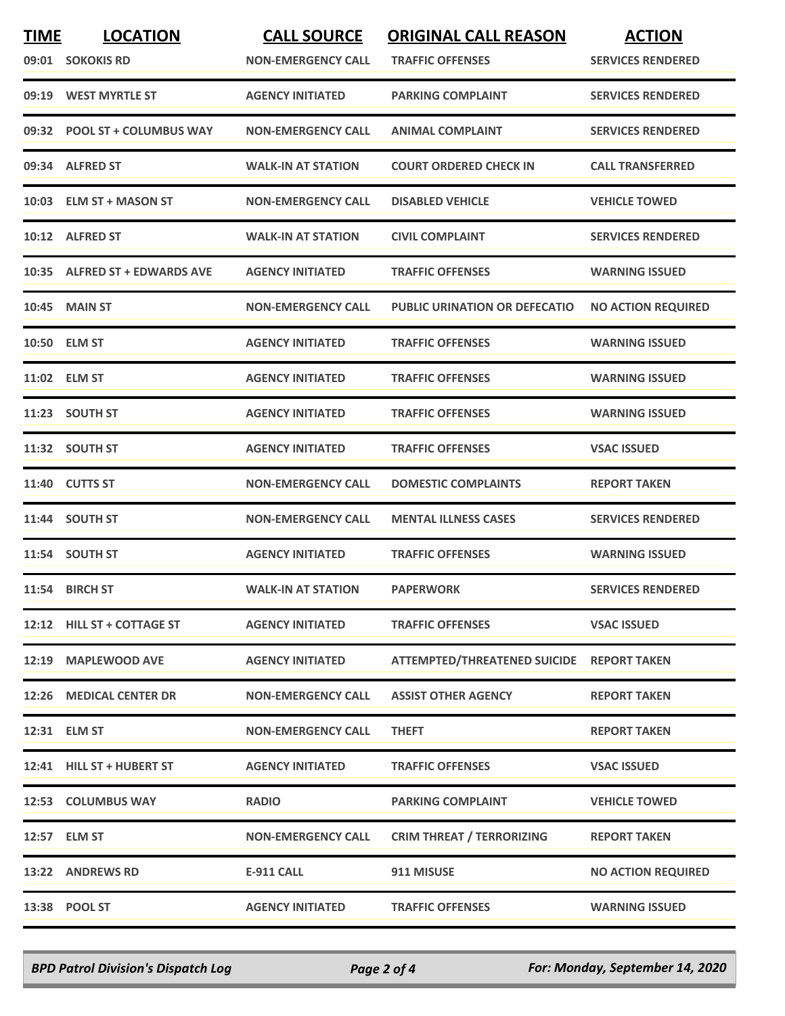| <b>TIME</b> | <b>LOCATION</b><br>09:01 SOKOKIS RD | <b>CALL SOURCE</b><br><b>NON-EMERGENCY CALL</b> | <b>ORIGINAL CALL REASON</b><br><b>TRAFFIC OFFENSES</b> | <b>ACTION</b><br><b>SERVICES RENDERED</b> |
|-------------|-------------------------------------|-------------------------------------------------|--------------------------------------------------------|-------------------------------------------|
|             | 09:19 WEST MYRTLE ST                | <b>AGENCY INITIATED</b>                         | <b>PARKING COMPLAINT</b>                               | <b>SERVICES RENDERED</b>                  |
|             | 09:32 POOL ST + COLUMBUS WAY        | <b>NON-EMERGENCY CALL</b>                       | <b>ANIMAL COMPLAINT</b>                                | <b>SERVICES RENDERED</b>                  |
|             | 09:34 ALFRED ST                     | <b>WALK-IN AT STATION</b>                       | <b>COURT ORDERED CHECK IN</b>                          | <b>CALL TRANSFERRED</b>                   |
|             | 10:03 ELM ST + MASON ST             | <b>NON-EMERGENCY CALL</b>                       | <b>DISABLED VEHICLE</b>                                | <b>VEHICLE TOWED</b>                      |
|             | 10:12 ALFRED ST                     | <b>WALK-IN AT STATION</b>                       | <b>CIVIL COMPLAINT</b>                                 | <b>SERVICES RENDERED</b>                  |
|             | 10:35 ALFRED ST + EDWARDS AVE       | <b>AGENCY INITIATED</b>                         | <b>TRAFFIC OFFENSES</b>                                | <b>WARNING ISSUED</b>                     |
|             | <b>10:45 MAIN ST</b>                | <b>NON-EMERGENCY CALL</b>                       | <b>PUBLIC URINATION OR DEFECATIO</b>                   | <b>NO ACTION REQUIRED</b>                 |
|             | 10:50 ELM ST                        | <b>AGENCY INITIATED</b>                         | <b>TRAFFIC OFFENSES</b>                                | <b>WARNING ISSUED</b>                     |
|             | 11:02 ELM ST                        | <b>AGENCY INITIATED</b>                         | <b>TRAFFIC OFFENSES</b>                                | <b>WARNING ISSUED</b>                     |
|             | 11:23 SOUTH ST                      | <b>AGENCY INITIATED</b>                         | <b>TRAFFIC OFFENSES</b>                                | <b>WARNING ISSUED</b>                     |
|             | 11:32 SOUTH ST                      | <b>AGENCY INITIATED</b>                         | <b>TRAFFIC OFFENSES</b>                                | <b>VSAC ISSUED</b>                        |
|             | 11:40 CUTTS ST                      | <b>NON-EMERGENCY CALL</b>                       | <b>DOMESTIC COMPLAINTS</b>                             | <b>REPORT TAKEN</b>                       |
|             | 11:44 SOUTH ST                      | <b>NON-EMERGENCY CALL</b>                       | <b>MENTAL ILLNESS CASES</b>                            | <b>SERVICES RENDERED</b>                  |
|             | 11:54 SOUTH ST                      | <b>AGENCY INITIATED</b>                         | <b>TRAFFIC OFFENSES</b>                                | <b>WARNING ISSUED</b>                     |
|             | 11:54 BIRCH ST                      | <b>WALK-IN AT STATION</b>                       | <b>PAPERWORK</b>                                       | <b>SERVICES RENDERED</b>                  |
|             | 12:12 HILL ST + COTTAGE ST          | <b>AGENCY INITIATED</b>                         | <b>TRAFFIC OFFENSES</b>                                | <b>VSAC ISSUED</b>                        |
|             | 12:19 MAPLEWOOD AVE                 | <b>AGENCY INITIATED</b>                         | ATTEMPTED/THREATENED SUICIDE REPORT TAKEN              |                                           |
|             | 12:26 MEDICAL CENTER DR             | <b>NON-EMERGENCY CALL</b>                       | <b>ASSIST OTHER AGENCY</b>                             | <b>REPORT TAKEN</b>                       |
|             | 12:31 ELM ST                        | <b>NON-EMERGENCY CALL</b>                       | <b>THEFT</b>                                           | <b>REPORT TAKEN</b>                       |
|             | 12:41 HILL ST + HUBERT ST           | <b>AGENCY INITIATED</b>                         | <b>TRAFFIC OFFENSES</b>                                | <b>VSAC ISSUED</b>                        |
|             | 12:53 COLUMBUS WAY                  | <b>RADIO</b>                                    | <b>PARKING COMPLAINT</b>                               | <b>VEHICLE TOWED</b>                      |
|             | 12:57 ELM ST                        | <b>NON-EMERGENCY CALL</b>                       | <b>CRIM THREAT / TERRORIZING</b>                       | <b>REPORT TAKEN</b>                       |
|             | 13:22 ANDREWS RD                    | E-911 CALL                                      | 911 MISUSE                                             | <b>NO ACTION REQUIRED</b>                 |
|             | 13:38 POOL ST                       | <b>AGENCY INITIATED</b>                         | <b>TRAFFIC OFFENSES</b>                                | <b>WARNING ISSUED</b>                     |

*BPD Patrol Division's Dispatch Log Page 2 of 4 For: Monday, September 14, 2020*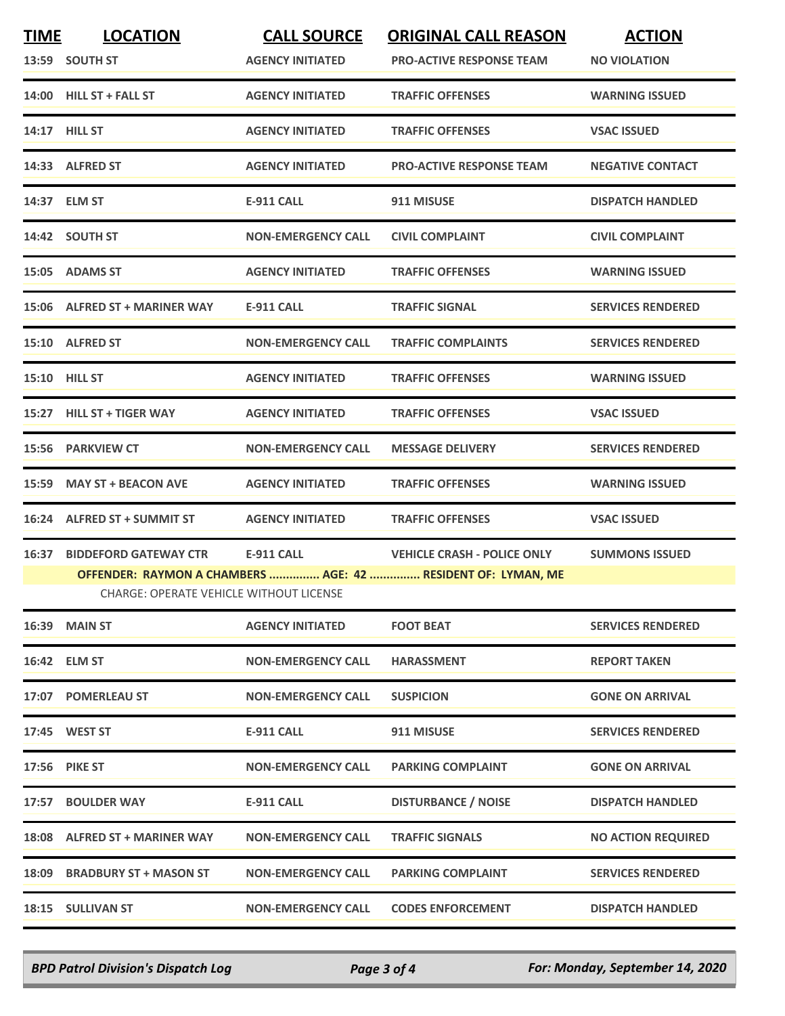| <b>TIME</b> | <b>LOCATION</b><br>13:59 SOUTH ST                                      | <b>CALL SOURCE</b><br><b>AGENCY INITIATED</b> | <b>ORIGINAL CALL REASON</b><br><b>PRO-ACTIVE RESPONSE TEAM</b>                                     | <b>ACTION</b><br><b>NO VIOLATION</b> |
|-------------|------------------------------------------------------------------------|-----------------------------------------------|----------------------------------------------------------------------------------------------------|--------------------------------------|
|             | 14:00 HILL ST + FALL ST                                                | <b>AGENCY INITIATED</b>                       | <b>TRAFFIC OFFENSES</b>                                                                            | <b>WARNING ISSUED</b>                |
|             | 14:17 <b>HILL ST</b>                                                   | <b>AGENCY INITIATED</b>                       | <b>TRAFFIC OFFENSES</b>                                                                            | <b>VSAC ISSUED</b>                   |
|             | 14:33 ALFRED ST                                                        | <b>AGENCY INITIATED</b>                       | <b>PRO-ACTIVE RESPONSE TEAM</b>                                                                    | <b>NEGATIVE CONTACT</b>              |
|             | 14:37 ELM ST                                                           | <b>E-911 CALL</b>                             | 911 MISUSE                                                                                         | <b>DISPATCH HANDLED</b>              |
|             | 14:42 SOUTH ST                                                         | <b>NON-EMERGENCY CALL</b>                     | <b>CIVIL COMPLAINT</b>                                                                             | <b>CIVIL COMPLAINT</b>               |
|             | 15:05 ADAMS ST                                                         | <b>AGENCY INITIATED</b>                       | <b>TRAFFIC OFFENSES</b>                                                                            | <b>WARNING ISSUED</b>                |
|             | 15:06 ALFRED ST + MARINER WAY                                          | <b>E-911 CALL</b>                             | <b>TRAFFIC SIGNAL</b>                                                                              | <b>SERVICES RENDERED</b>             |
|             | 15:10 ALFRED ST                                                        | <b>NON-EMERGENCY CALL</b>                     | <b>TRAFFIC COMPLAINTS</b>                                                                          | <b>SERVICES RENDERED</b>             |
|             | 15:10 HILL ST                                                          | <b>AGENCY INITIATED</b>                       | <b>TRAFFIC OFFENSES</b>                                                                            | <b>WARNING ISSUED</b>                |
|             | 15:27 HILL ST + TIGER WAY                                              | <b>AGENCY INITIATED</b>                       | <b>TRAFFIC OFFENSES</b>                                                                            | <b>VSAC ISSUED</b>                   |
|             | 15:56 PARKVIEW CT                                                      | <b>NON-EMERGENCY CALL</b>                     | <b>MESSAGE DELIVERY</b>                                                                            | <b>SERVICES RENDERED</b>             |
|             | 15:59 MAY ST + BEACON AVE                                              | <b>AGENCY INITIATED</b>                       | <b>TRAFFIC OFFENSES</b>                                                                            | <b>WARNING ISSUED</b>                |
|             | 16:24 ALFRED ST + SUMMIT ST                                            | <b>AGENCY INITIATED</b>                       | <b>TRAFFIC OFFENSES</b>                                                                            | <b>VSAC ISSUED</b>                   |
|             | 16:37 BIDDEFORD GATEWAY CTR<br>CHARGE: OPERATE VEHICLE WITHOUT LICENSE | E-911 CALL                                    | <b>VEHICLE CRASH - POLICE ONLY</b><br>OFFENDER: RAYMON A CHAMBERS  AGE: 42  RESIDENT OF: LYMAN, ME | <b>SUMMONS ISSUED</b>                |
|             | 16:39 MAIN ST                                                          | <b>AGENCY INITIATED</b>                       | <b>FOOT BEAT</b>                                                                                   | <b>SERVICES RENDERED</b>             |
|             | 16:42 ELM ST                                                           | <b>NON-EMERGENCY CALL</b>                     | <b>HARASSMENT</b>                                                                                  | <b>REPORT TAKEN</b>                  |
|             | 17:07 POMERLEAU ST                                                     | <b>NON-EMERGENCY CALL</b>                     | <b>SUSPICION</b>                                                                                   | <b>GONE ON ARRIVAL</b>               |
|             | 17:45 WEST ST                                                          | <b>E-911 CALL</b>                             | 911 MISUSE                                                                                         | <b>SERVICES RENDERED</b>             |
|             | <b>17:56 PIKE ST</b>                                                   | <b>NON-EMERGENCY CALL</b>                     | <b>PARKING COMPLAINT</b>                                                                           | <b>GONE ON ARRIVAL</b>               |
|             | 17:57 BOULDER WAY                                                      | <b>E-911 CALL</b>                             | <b>DISTURBANCE / NOISE</b>                                                                         | <b>DISPATCH HANDLED</b>              |
|             | 18:08 ALFRED ST + MARINER WAY                                          | <b>NON-EMERGENCY CALL</b>                     | <b>TRAFFIC SIGNALS</b>                                                                             | <b>NO ACTION REQUIRED</b>            |
|             | 18:09 BRADBURY ST + MASON ST                                           | <b>NON-EMERGENCY CALL</b>                     | <b>PARKING COMPLAINT</b>                                                                           | <b>SERVICES RENDERED</b>             |
|             | 18:15 SULLIVAN ST                                                      | <b>NON-EMERGENCY CALL</b>                     | <b>CODES ENFORCEMENT</b>                                                                           | <b>DISPATCH HANDLED</b>              |

*BPD Patrol Division's Dispatch Log Page 3 of 4 For: Monday, September 14, 2020*